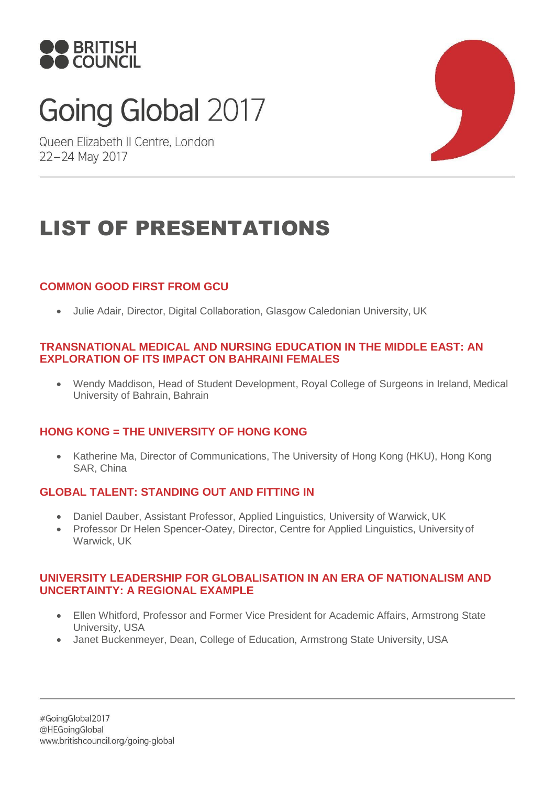

# Going Global 2017

Queen Elizabeth II Centre, London 22-24 May 2017



# LIST OF PRESENTATIONS

# **COMMON GOOD FIRST FROM GCU**

• Julie Adair, Director, Digital Collaboration, Glasgow Caledonian University, UK

#### **TRANSNATIONAL MEDICAL AND NURSING EDUCATION IN THE MIDDLE EAST: AN EXPLORATION OF ITS IMPACT ON BAHRAINI FEMALES**

• Wendy Maddison, Head of Student Development, Royal College of Surgeons in Ireland, Medical University of Bahrain, Bahrain

# **HONG KONG = THE UNIVERSITY OF HONG KONG**

• Katherine Ma, Director of Communications, The University of Hong Kong (HKU), Hong Kong SAR, China

# **GLOBAL TALENT: STANDING OUT AND FITTING IN**

- Daniel Dauber, Assistant Professor, Applied Linguistics, University of Warwick, UK
- Professor Dr Helen Spencer-Oatey, Director, Centre for Applied Linguistics, University of Warwick, UK

#### **UNIVERSITY LEADERSHIP FOR GLOBALISATION IN AN ERA OF NATIONALISM AND UNCERTAINTY: A REGIONAL EXAMPLE**

- Ellen Whitford, Professor and Former Vice President for Academic Affairs, Armstrong State University, USA
- Janet Buckenmeyer, Dean, College of Education, Armstrong State University, USA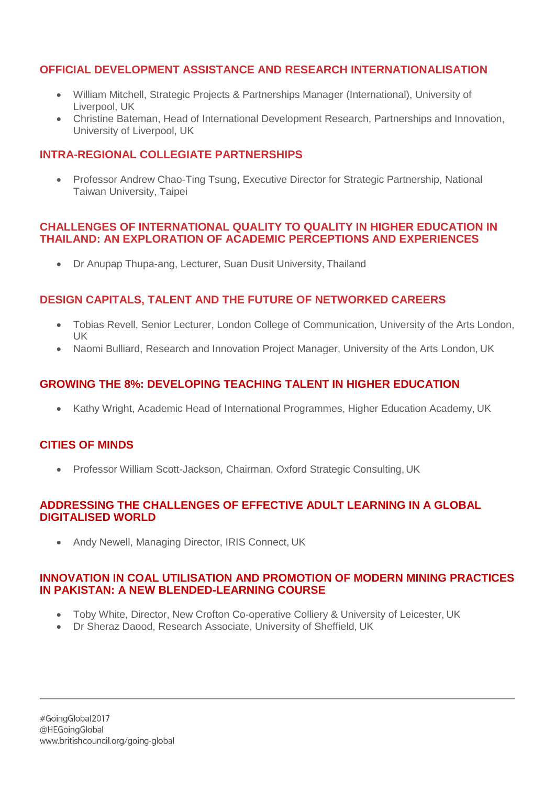# **OFFICIAL DEVELOPMENT ASSISTANCE AND RESEARCH INTERNATIONALISATION**

- William Mitchell, Strategic Projects & Partnerships Manager (International), University of Liverpool, UK
- Christine Bateman, Head of International Development Research, Partnerships and Innovation, University of Liverpool, UK

#### **INTRA-REGIONAL COLLEGIATE PARTNERSHIPS**

• Professor Andrew Chao-Ting Tsung, Executive Director for Strategic Partnership, National Taiwan University, Taipei

#### **CHALLENGES OF INTERNATIONAL QUALITY TO QUALITY IN HIGHER EDUCATION IN THAILAND: AN EXPLORATION OF ACADEMIC PERCEPTIONS AND EXPERIENCES**

• Dr Anupap Thupa-ang, Lecturer, Suan Dusit University, Thailand

# **DESIGN CAPITALS, TALENT AND THE FUTURE OF NETWORKED CAREERS**

- Tobias Revell, Senior Lecturer, London College of Communication, University of the Arts London, UK
- Naomi Bulliard, Research and Innovation Project Manager, University of the Arts London, UK

# **GROWING THE 8%: DEVELOPING TEACHING TALENT IN HIGHER EDUCATION**

• Kathy Wright, Academic Head of International Programmes, Higher Education Academy, UK

# **CITIES OF MINDS**

• Professor William Scott-Jackson, Chairman, Oxford Strategic Consulting, UK

#### **ADDRESSING THE CHALLENGES OF EFFECTIVE ADULT LEARNING IN A GLOBAL DIGITALISED WORLD**

• Andy Newell, Managing Director, IRIS Connect, UK

#### **INNOVATION IN COAL UTILISATION AND PROMOTION OF MODERN MINING PRACTICES IN PAKISTAN: A NEW BLENDED-LEARNING COURSE**

- Toby White, Director, New Crofton Co-operative Colliery & University of Leicester, UK
- Dr Sheraz Daood, Research Associate, University of Sheffield, UK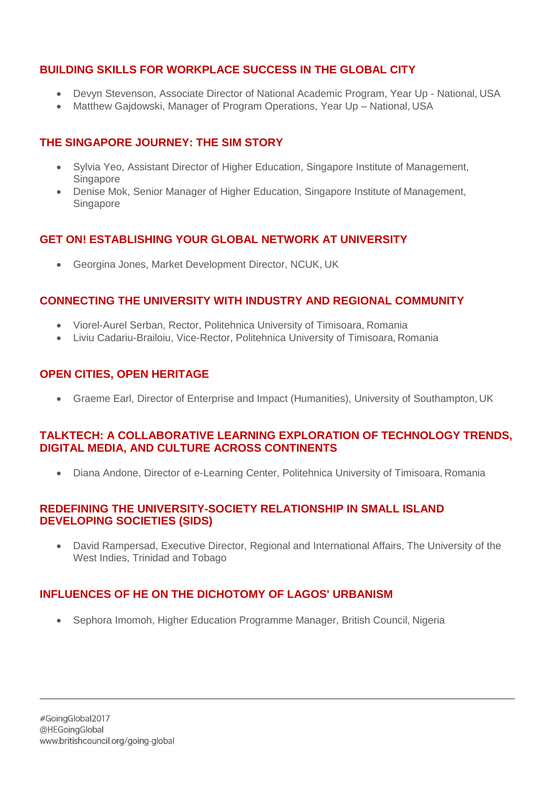# **BUILDING SKILLS FOR WORKPLACE SUCCESS IN THE GLOBAL CITY**

- Devyn Stevenson, Associate Director of National Academic Program, Year Up National, USA
- Matthew Gajdowski, Manager of Program Operations, Year Up National, USA

### **THE SINGAPORE JOURNEY: THE SIM STORY**

- Sylvia Yeo, Assistant Director of Higher Education, Singapore Institute of Management, Singapore
- Denise Mok, Senior Manager of Higher Education, Singapore Institute of Management, Singapore

# **GET ON! ESTABLISHING YOUR GLOBAL NETWORK AT UNIVERSITY**

• Georgina Jones, Market Development Director, NCUK, UK

#### **CONNECTING THE UNIVERSITY WITH INDUSTRY AND REGIONAL COMMUNITY**

- Viorel-Aurel Serban, Rector, Politehnica University of Timisoara, Romania
- Liviu Cadariu-Brailoiu, Vice-Rector, Politehnica University of Timisoara, Romania

# **OPEN CITIES, OPEN HERITAGE**

• Graeme Earl, Director of Enterprise and Impact (Humanities), University of Southampton, UK

# **TALKTECH: A COLLABORATIVE LEARNING EXPLORATION OF TECHNOLOGY TRENDS, DIGITAL MEDIA, AND CULTURE ACROSS CONTINENTS**

• Diana Andone, Director of e-Learning Center, Politehnica University of Timisoara, Romania

#### **REDEFINING THE UNIVERSITY-SOCIETY RELATIONSHIP IN SMALL ISLAND DEVELOPING SOCIETIES (SIDS)**

• David Rampersad, Executive Director, Regional and International Affairs, The University of the West Indies, Trinidad and Tobago

# **INFLUENCES OF HE ON THE DICHOTOMY OF LAGOS' URBANISM**

• Sephora Imomoh, Higher Education Programme Manager, British Council, Nigeria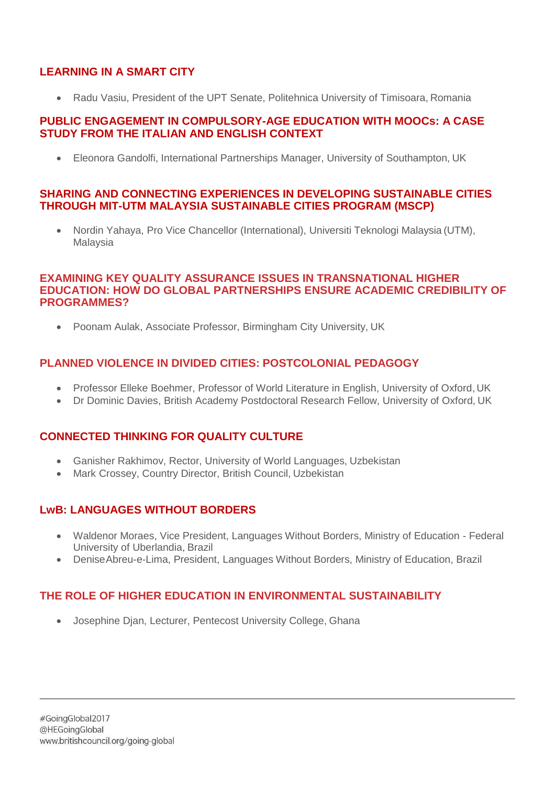# **LEARNING IN A SMART CITY**

• Radu Vasiu, President of the UPT Senate, Politehnica University of Timisoara, Romania

#### **PUBLIC ENGAGEMENT IN COMPULSORY-AGE EDUCATION WITH MOOCs: A CASE STUDY FROM THE ITALIAN AND ENGLISH CONTEXT**

• Eleonora Gandolfi, International Partnerships Manager, University of Southampton, UK

#### **SHARING AND CONNECTING EXPERIENCES IN DEVELOPING SUSTAINABLE CITIES THROUGH MIT-UTM MALAYSIA SUSTAINABLE CITIES PROGRAM (MSCP)**

• Nordin Yahaya, Pro Vice Chancellor (International), Universiti Teknologi Malaysia (UTM), Malaysia

#### **EXAMINING KEY QUALITY ASSURANCE ISSUES IN TRANSNATIONAL HIGHER EDUCATION: HOW DO GLOBAL PARTNERSHIPS ENSURE ACADEMIC CREDIBILITY OF PROGRAMMES?**

• Poonam Aulak, Associate Professor, Birmingham City University, UK

# **PLANNED VIOLENCE IN DIVIDED CITIES: POSTCOLONIAL PEDAGOGY**

- Professor Elleke Boehmer, Professor of World Literature in English, University of Oxford, UK
- Dr Dominic Davies, British Academy Postdoctoral Research Fellow, University of Oxford, UK

# **CONNECTED THINKING FOR QUALITY CULTURE**

- Ganisher Rakhimov, Rector, University of World Languages, Uzbekistan
- Mark Crossey, Country Director, British Council, Uzbekistan

# **LwB: LANGUAGES WITHOUT BORDERS**

- Waldenor Moraes, Vice President, Languages Without Borders, Ministry of Education Federal University of Uberlandia, Brazil
- DeniseAbreu-e-Lima, President, Languages Without Borders, Ministry of Education, Brazil

# **THE ROLE OF HIGHER EDUCATION IN ENVIRONMENTAL SUSTAINABILITY**

• Josephine Djan, Lecturer, Pentecost University College, Ghana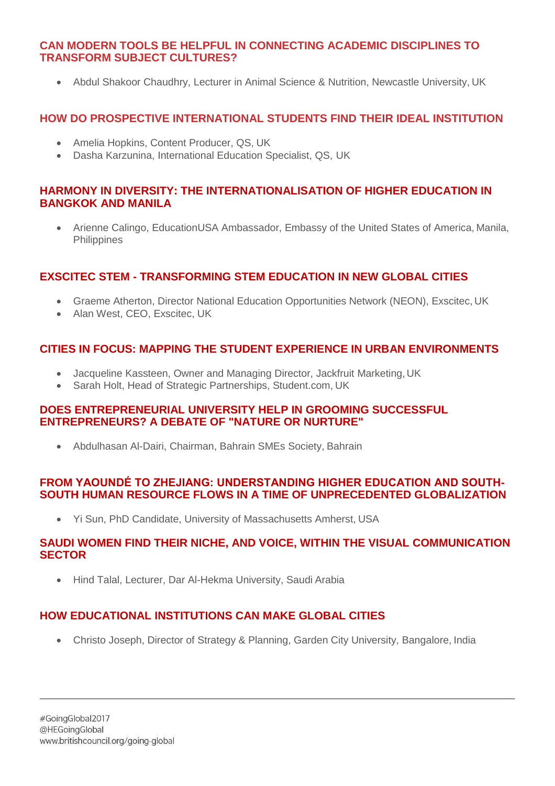#### **CAN MODERN TOOLS BE HELPFUL IN CONNECTING ACADEMIC DISCIPLINES TO TRANSFORM SUBJECT CULTURES?**

• Abdul Shakoor Chaudhry, Lecturer in Animal Science & Nutrition, Newcastle University, UK

# **HOW DO PROSPECTIVE INTERNATIONAL STUDENTS FIND THEIR IDEAL INSTITUTION**

- Amelia Hopkins, Content Producer, QS, UK
- Dasha Karzunina, International Education Specialist, QS, UK

#### **HARMONY IN DIVERSITY: THE INTERNATIONALISATION OF HIGHER EDUCATION IN BANGKOK AND MANILA**

• Arienne Calingo, EducationUSA Ambassador, Embassy of the United States of America, Manila, **Philippines** 

#### **EXSCITEC STEM - TRANSFORMING STEM EDUCATION IN NEW GLOBAL CITIES**

- Graeme Atherton, Director National Education Opportunities Network (NEON), Exscitec, UK
- Alan West, CEO, Exscitec, UK

# **CITIES IN FOCUS: MAPPING THE STUDENT EXPERIENCE IN URBAN ENVIRONMENTS**

- Jacqueline Kassteen, Owner and Managing Director, Jackfruit Marketing, UK
- Sarah Holt, Head of Strategic Partnerships, Student.com, UK

#### **DOES ENTREPRENEURIAL UNIVERSITY HELP IN GROOMING SUCCESSFUL ENTREPRENEURS? A DEBATE OF "NATURE OR NURTURE"**

• Abdulhasan Al-Dairi, Chairman, Bahrain SMEs Society, Bahrain

#### **FROM YAOUNDÉ TO ZHEJIANG: UNDERSTANDING HIGHER EDUCATION AND SOUTH-SOUTH HUMAN RESOURCE FLOWS IN A TIME OF UNPRECEDENTED GLOBALIZATION**

• Yi Sun, PhD Candidate, University of Massachusetts Amherst, USA

#### **SAUDI WOMEN FIND THEIR NICHE, AND VOICE, WITHIN THE VISUAL COMMUNICATION SECTOR**

• Hind Talal, Lecturer, Dar Al-Hekma University, Saudi Arabia

# **HOW EDUCATIONAL INSTITUTIONS CAN MAKE GLOBAL CITIES**

• Christo Joseph, Director of Strategy & Planning, Garden City University, Bangalore, India